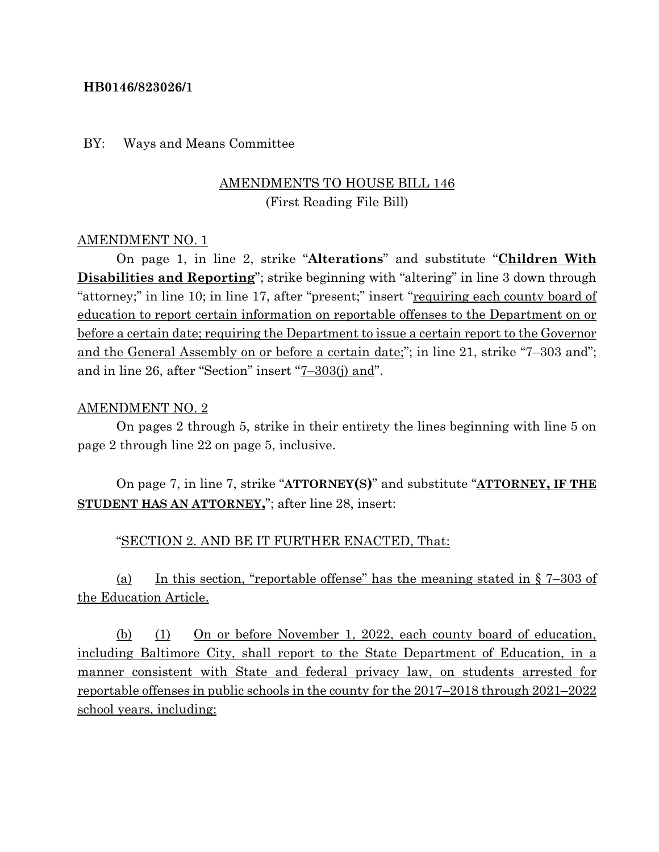### **HB0146/823026/1**

#### BY: Ways and Means Committee

# AMENDMENTS TO HOUSE BILL 146 (First Reading File Bill)

### AMENDMENT NO. 1

On page 1, in line 2, strike "**Alterations**" and substitute "**Children With Disabilities and Reporting**"; strike beginning with "altering" in line 3 down through "attorney;" in line 10; in line 17, after "present;" insert "requiring each county board of education to report certain information on reportable offenses to the Department on or before a certain date; requiring the Department to issue a certain report to the Governor and the General Assembly on or before a certain date;"; in line 21, strike "7–303 and"; and in line 26, after "Section" insert "7–303(j) and".

### AMENDMENT NO. 2

On pages 2 through 5, strike in their entirety the lines beginning with line 5 on page 2 through line 22 on page 5, inclusive.

On page 7, in line 7, strike "**ATTORNEY(S)**" and substitute "**ATTORNEY, IF THE STUDENT HAS AN ATTORNEY,**"; after line 28, insert:

### "SECTION 2. AND BE IT FURTHER ENACTED, That:

(a) In this section, "reportable offense" has the meaning stated in  $\S 7-303$  of the Education Article.

(b) (1) On or before November 1, 2022, each county board of education, including Baltimore City, shall report to the State Department of Education, in a manner consistent with State and federal privacy law, on students arrested for reportable offenses in public schools in the county for the 2017–2018 through 2021–2022 school years, including: